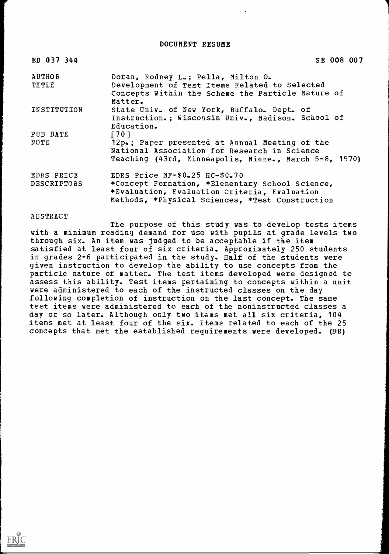DOCUMENT RESUME

| ED 037 344             | SE 008 007                                                                                                                                              |
|------------------------|---------------------------------------------------------------------------------------------------------------------------------------------------------|
| <b>AUTHOR</b><br>TITLE | Doran, Rodney L.; Pella, Milton O.<br>Development of Test Items Related to Selected                                                                     |
|                        | Concepts Within the Scheme the Particle Nature of<br>Matter.                                                                                            |
| INSTITUTION            | State Univ. of New York, Buffalo. Dept. of<br>Instruction.; Wisconsin Univ., Madison. School of<br>Education.                                           |
| PUB DATE               | $[701$                                                                                                                                                  |
| NOTE                   | 12p.; Paper presented at Annual Meeting of the<br>National Association for Research in Science<br>Teaching (43rd, Minneapolis, Minne., March 5-8, 1970) |
| EDRS PRICE             | EDRS Price $MF-50-25$ HC- $$0.70$                                                                                                                       |
| DESCRIPTORS            | *Concept Formation, *Elementary School Science,<br>*Evaluation, Fvaluation Criteria, Evaluation<br>Methods, *Physical Sciences, *Test Construction      |

ABSTRACT

The purpose of this study was to develop tests items with a minimum reading demand for use with pupils at grade levels two through six. An item was judged to be acceptable if the item satisfied at least four of six criteria. Approximately 250 students in grades 2-6 participated in the study. Half of the students were given instruction to develop the ability to use concepts from the particle nature of matter. The test items developed were designed to assess this ability. Test items pertaining to concepts within a unit were administered to each of the instructed classes on the day following completion of instruction on the last concept. The same test items were administered to each of the noninstructed classes a day or so later. Although only two items met all six criteria, 104 items met at least four of the six. Items related to each of the 25 concepts that met the established requirements were developed.  $(B-R)$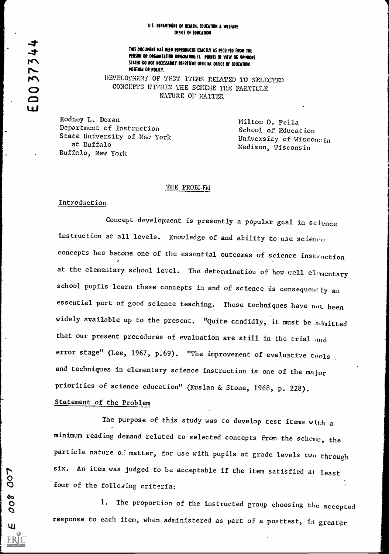#### U.S. DEPARTMENT OF HEALTH, EDUCATION & WEIFARE OFFICE OF EDUCATION

ナ **DO** 

THIS DOCUMENT HAS REEN REPRODUCED EXACTLY AS RECEIVED FROM THE<br>PERSON OR ORGANIZATION OPIGINATING IT. POINTS OF VIEW OR OPINIONS PERSON OF ORGANIZATION OPIGENATING IT. POWERS OF VIEW OF OPINIC<br>
PERSON OF ORGANIZATION OPIGENATING IT. POWERS OF VIEW OF OPINIC<br>
POSITION OF POLICY.<br>
POSITION OF CONOTENT OF THESE RELATED TO POSITION OR POLICY. DEVELOPMENI OF TEST ITEMS RELATED TO SELECTED CONCEPTS WITHIN THE SCHEME THE PARTICLE NATURE OF MATTER

> Rodney L. Doran Deportment of Instruction State University of New York at Buffalo Buffalo, New York

Milton O. Pella School of Education University of Wiscon:!in Madison, Wisconsin

#### THE PROELF1

## Introduction

Concept development is presently a popular goal in science instruction at all levels. Knowledge of and ability to use science concepts has become one of the essential outcomes of science instruction at the elementary school level. The determination of how well elementary school pupils learn these concepts in and of science is consequently an essential part of good science teaching. These techniques have not been widely available up to the present. "Quite candidly, it must be ndmitted that our present procedures of evaluation are still in the trial and error stage" (Lee, 1967, p.69). "The improvement of evaluative tools. and techniques in elementary science instruction is one of the major priorities of science education" (Kuslan & Stone, 1968, p. 228).

## Statement of the Problem

The purpose of this study was to develop test items. with a minimum reading demand related to selected concepts from the scheme, the particle nature o.! matter, for use with pupils at grade levels two through r<br>
8<br>
S<br>
6<br>
four six. An item was judged to be acceptable if the item satisfied at least<br>four of the folloging criteria:

1. The proportion of the instructed group choosing the accepted response to each item, when administered as part of a posttest, in greater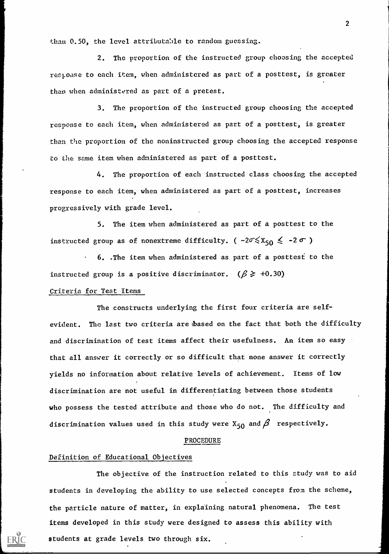than 0.50, the level attributable to random guessing.

2. The proportion of the instructed group choosing the accepted respoase to each item, when administered as part of a posttest, is greater than when administered as part of a pretest.

3. The proportion of the instructed group choosing the accepted response to each item, when administered as part of a posttest, is greater than the proportion of the noninstructed group choosing the accepted response to the same item when administered as part of a posttest.

4. The proportion of each instructed class choosing the accepted response to each item, when administered as part of a posttest, increases progressively with grade level.

5. The item when administered as part of a posttest to the instructed group as of nonextreme difficulty. ( $-2\sigma \leq x_{50} \leq -2 \sigma$ )

6. .The item when administered as part of a posttest to the instructed group is a positive discriminator. ( $\beta \geq 0.30$ )

## Criteria for Test Items

The constructs underlying the first four criteria are selfevident, The last two criteria are:based on the fact that both the difficulty and discrimination of test items affect their usefulness. An item so easy that all answer it correctly or so difficult that none answer it correctly yields no information about relative levels of achievement. Items of low discrimination are not useful in differentiating between those students who possess the tested attribute and those who do not. The difficulty and discrimination values used in this study were  $X_{50}$  and  $\beta$  respectively.

#### PROCEDURE

## Definition of Educational Objectives

The objective of the instruction related to this study was to aid students in developing the ability to use selected concepts from the scheme, the particle nature of matter, in explaining natural phenomena. The test items developed in this study were designed to assess this ability with students at grade levels two through six.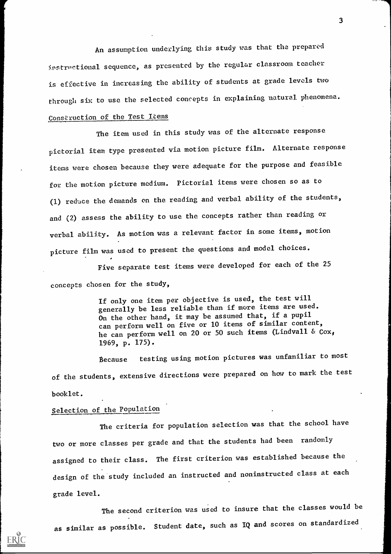An assumption underlying this study was that the prepared instructional sequence, as presented by the regular classroom teacher is effective in increasing the ability of students at grade levels two through six to use the selected concepts in explaining natural, phenomena.

# Construction of the Test Liems

The item used in this study was of the alternate response pictorial item type presented via motion picture film. Alternate response items were chosen because they were adequate for the purpose and feasible for the motion picture medium. Pictorial items were chosen so as to (1) reduce the demands on the reading and verbal ability of the students, and (2) assess the ability to use the concepts rather than reading or verbal ability. As motion was a relevant factor in some items, motion picture film was used to present the questions and model choices.

Five separate test items were developed for each of the 25 concepts chosen for the study,

> If only one item per objective is used, the test will generally be less reliable than if more items are used. On the other hand, it may be assumed that, if a pupil can perform well on five or 10 items of similar content, he can perform well on 20 or 50 such items (Lindvall &  $\cos_{\theta}$ 1969, p. 175).

tecause testing using motion pictures was unfamiliar to most of the students, extensive directions were prepared on how to mark the test booklet.

# Selection of the Population

ERIC

The criteria for population selection was that the school have two or more classes per grade and that the students had been randomly assigned to their class. The first criterion was established because the design of the study included an instructed and noninstructed class at each grade level.

The second criterion was used to insure that the classes would be as similar as possible. Student date, such as IQ and scores on standardized

3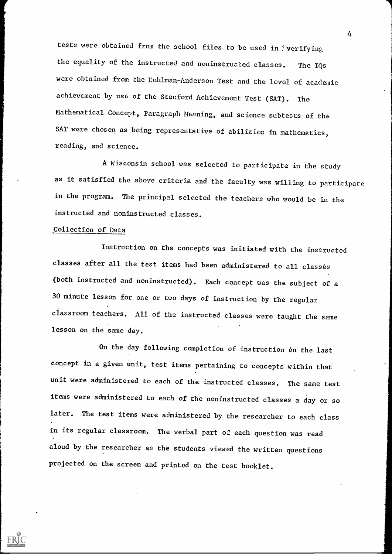tests were obtained from the school files to be used in 'verifying the equality of the instructed and noninstructed classes. The IQs were obtained from the Ruhlman-Anderson Test and the level of academic achievement by use of the Stanford Achievement Test (SAT). The Mathematical Concept, Paragraph Meaning, and science subtests of the SAT were chosen as being representative of abilities in mathematics, reading, and science.

A Wisconsin school was selected to participate in the study as it satisfied the above criteria and the faculty was willing to participate in the program. The principal selected the teachers who would be in the instructed and noninstructed classes.

## Collection of Data

ERIC

Instruction on the concepts was initiated with the instructed classes after all the test items had been administered to all classés (both instructed and noninstructed). Each concept was the subject of a 30 minute lesson for one or two days of instruction by the regular classroom teachers. All of the instructed classes were taught the same lesson on the same day.

On the day following completion of instruction on the last concept in a given unit, test items pertaining to concepts within that unit were administered to each of the instructed classes. The same test items were administered to each of the noninstructed classes a day or so later. The test items were administered by the researcher to each class in its regular classroom. The verbal part of each question was read aloud by the researcher as the students viewed the written questions projected on the screen and printed on the test booklet.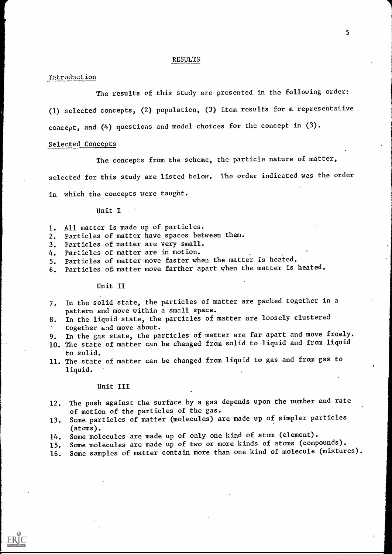#### RESULTS

#### Introduetion

The results of this study are presented in the following order: (1) selected concepts, (2) population, (3) item results for a representative concept, and (4) questions and model choices for the concept in (3).

## Selected Concepts

The concepts from the scheme, the particle nature of matter,

selected for this study are listed below. The order indicated was the order

in which the concepts were taught.

## Unit I

- 1. All matter is made up of particles.
- 2. Particles of matter have spaces between them.
- 3. Particles of matter are very small.
- 4. Particles of matter are in motion.
- 5. Particles of matter move faster when the matter is heated.
- 6. Particles of matter move farther apart when the matter is heated.

## Unit II

- 7. In the solid state, the particles of matter are packed together in a pattern and move within a small space.
- 8. In the liquid state, the particles of matter are loosely clustered together and move about.
- 9. In the gas state, the particles of matter are far apart and move freely.
- 10. The state of matter can be changed from solid to liquid and from liquid to solid.
- 11. The state of matter can be changed from liquid to gas and from gas to liquid.

#### Unit III

ERIC

- 12. The push against the surface by a gas depends upon the number and rate of motion of the particles of the gas.
- 13. Some particles of matter (molecules) are made up of simpler particles (atoms).
- 14. Some molecules are made up of only one kind of atom (element).
- 15. Some molecules are made up of two or more kinds of atoms (compounds).
- 16. Some samples of matter contain more than one kind of molecule (mixtures).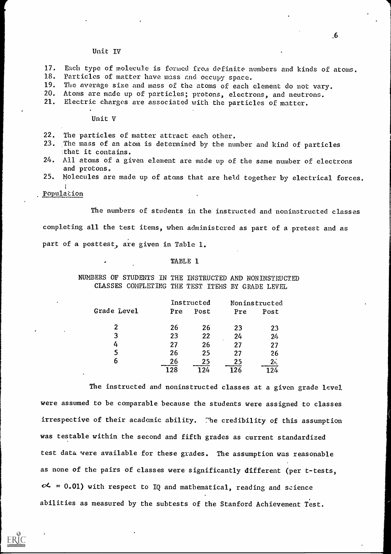#### Unit IV

- 17. Each type of molecule is formed from definite numbers and kinds of atoms.<br>18. Particles of matter have mass and occupy space.
- 18. Particles of matter have mass and occupy space.<br>19. The average size and mass of the atoms of each
- 19. The average size and mass of the atoms of each element do not vary.<br>20. Atoms are made up of particles: protons, electrons, and peutrons.
- Atoms are made up of particles; protons, electrons, and neutrons.
- 21. Electric charges are associated with the particles of matter.

## Unit V

- 22. The particles of matter attract each other.
- 23. The mass of an atom is determined by the number and kind of particles that it contains.
- 24. All atoms of a given element are made up of the same number of electrons and protons.
- 25. Molecules are made up of atoms that are held together by electrical forces.

# Population

The numbers of students in the instructed and noninstructed classes

completing all the test items, when administered as part of a pretest and as

part of a posttest, are given in Table 1.

#### TABLE 1

NUMBERS OF STUDENTS IN THE INSTRUCTED AND NONINSTRUCTED CLASSES COMPLETING THE TEST ITEMS BY GRADE LEVEL

|                |     | Instructed |     | Noninstructed |  |
|----------------|-----|------------|-----|---------------|--|
| Grade Level    | Pre | Post       | Pre | Post          |  |
| $\overline{2}$ | 26  | 26         | 23  | 23            |  |
| 3              | 23  | 22         | 24  | 24            |  |
| 4              | 27  | 26         | 27  | 27            |  |
| 5              | 26  | 25         | 27  | 26            |  |
| 6              | 26  | 25         | 25  | :2            |  |
|                | 28  |            | 126 |               |  |

The instructed and noninstructed classes at a given grade level. were assumed to be comparable because the students were assigned to classes irrespective of their academic ability. The credibility of this assumption was testable within the second and fifth grades as current standardized test data were available for these grades. The assumption was reasonable as none of the pairs of classes were significantly different (per t-tests  $\alpha$  = 0.01) with respect to IQ and mathematical, reading and science abilities as measured by the subtests of the Stanford Achievement Test.

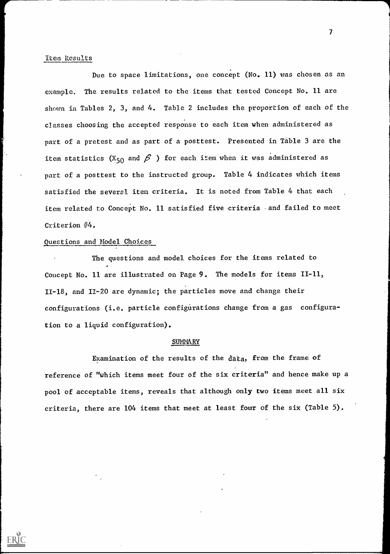## Item Results

Due to space limitations, one concept (No. 11) was chosen as an example. The results related to the items that tested Concept No. 11 are shown in Tables 2, 3, and 4. Table 2 includes the proportion of each of the classes choosing the accepted response to each item when administered as part of a pretest and as part of a posttest. Presented in Table 3 are the item statistics (X<sub>50</sub> and  $\beta$ ) for each item when it was administered as part of a posttest to the instructed group. Table 4 indicates which items satisfied the several item criteria. It is noted from Table 4 that each item related to Concept No. 11 satisfied five criteria - and failed to meet Criterion #4.

## Questions and Model Choices

 $ERIC$ 

The questions and model choices for the items related to Concept No. 11 are illustrated on Page 9. The models for items II-11, 11-18, and 11-20 are dynamic; the particles move and change their configurations (i.e. particle configurations change from a gas configuration to a liquid configuration).

#### **SUMMARY**

Examination of the results of the data, from the frame of reference of "which items meet four of the six criteria" and hence make up a pool of acceptable items, reveals that although only two items meet all six criteria, there are 104 items that meet at least four of the six (Table 5).

7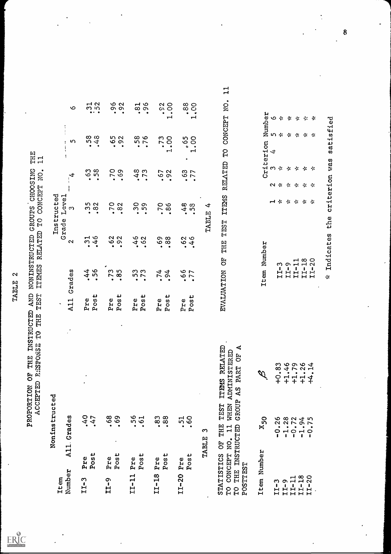$\label{eq:ex1} \underset{\mathbf{A}\text{full Test Proof of EHE}}{\sum}\underset{\mathbf{F}\in\mathrm{HIC}}{\bigotimes}\mathbf{C}^*$ 

TABLE 2<br>PROPORTION OF THE INSTRUCTED AND NONINSTRUCTED GROUPS CHOOSING THE<br>ACCEPTED RESPONSE TO THE TEST ITEMES RELATED TO CONCEPT NO. 11

| Noninstructed                                                                           |                                                                      |                               |                              |                                                                                                                        |                              | Instructed                                                        |                                                 |                                                                                             |                                                                 |  |
|-----------------------------------------------------------------------------------------|----------------------------------------------------------------------|-------------------------------|------------------------------|------------------------------------------------------------------------------------------------------------------------|------------------------------|-------------------------------------------------------------------|-------------------------------------------------|---------------------------------------------------------------------------------------------|-----------------------------------------------------------------|--|
| All. Grades<br>Number<br>Item                                                           |                                                                      |                               | A11<br>$\tilde{\phantom{a}}$ | Grades                                                                                                                 | Grade<br>$\sim$              | Level<br><u>സ</u>                                                 | $\overline{\mathbf{t}}$<br>$\ddot{\phantom{1}}$ | $\ddot{\phantom{a}}$<br>$\ddot{\phantom{a}}$<br>ທ<br>Ŧ<br>í<br>$\overline{\mathbf{z}}$<br>÷ | $\mathbf o$                                                     |  |
| .40<br>$-47$<br>Post<br>Pre<br>$LT-3$                                                   | $\bullet$                                                            |                               | Post<br>Pre                  | 44<br>56<br>$\bullet$<br>$\bullet$                                                                                     | $.31$<br>$.46$               | $\begin{array}{c} 35 \\ 82 \end{array}$<br>$\bullet$<br>$\bullet$ | <b>98</b><br>$\bullet$<br>$\bullet$             | $.58$<br>.48                                                                                | $\frac{1}{5}$<br>$\bullet\ \bullet\quad\bullet$                 |  |
| $.69$ .<br>Post<br>Pre<br>$T1 - 9$                                                      |                                                                      | $\bullet$                     | Post<br>Pre                  | S<br>.85<br>$\overline{r}$<br>$\bullet$                                                                                | 62<br>$\bullet$<br>$\bullet$ | $\circ$<br><b>702</b><br>$\bullet$<br>$\bullet$                   | <b>DZ</b><br>.69<br>$\bullet$                   | 65<br>92<br>$\bullet$<br>$\bullet$                                                          | 96<br>92<br>$\bullet$<br>$\bullet$                              |  |
| .56.<br>Post<br>Pre<br>$IT-11$                                                          |                                                                      |                               | Pre<br>Post                  | 53<br>73<br>$\bullet$<br>$\bullet$                                                                                     | .62                          | 59<br>59<br>$\bullet$<br>$\bullet$                                | .73                                             | 58<br>76<br>$\bullet$<br>$\bullet$                                                          | $\sim$ $\sim$<br>$\sigma$<br>$\infty$<br>$\bullet$<br>$\bullet$ |  |
| $.83$<br>$.88$<br>Post<br>Pre<br>$11 - 18$                                              |                                                                      |                               | Post<br>$Pr$ e               | 74<br>$\bullet$<br>$\bullet$                                                                                           | .88                          | <b>70</b><br>86<br>$\bullet$<br>$\bullet$                         | 67<br>92<br>$\bullet$<br>$\bullet$              | .73<br>r-l                                                                                  | $\frac{2}{00}$<br>$\bullet$<br>$\bullet$<br>$\mathbf{H}$        |  |
| .51<br>Post<br>Pre<br>$I = 20$                                                          |                                                                      |                               | Post<br>Pre                  | 667<br>$\bullet$<br>$\bullet$                                                                                          | .46                          | 48<br>$\bullet$                                                   | .77                                             | 500<br>$\bullet$<br>$\mathbf{L}$<br>$\mathbf{\mathbf{H}}$<br>$\bullet$                      | 88<br>$\bullet$<br>$\bullet$<br>$\mathbf{\mathbf{\mathbf{H}}}$  |  |
| S<br>TABLE                                                                              |                                                                      |                               |                              |                                                                                                                        | TABLE                        | $\blacktriangleleft$                                              |                                                 |                                                                                             |                                                                 |  |
| STATISTICS OF THE<br>THE INSTRUCTED<br>CONCEPT NO. 11<br>POSTTEST<br><b>OH</b><br>TQ    | ADMINISTERED<br>GROUP AS PART<br><b>TTEMS</b><br><b>WHEN</b><br>TEST | RELATED<br>4<br>FO            | EVALUATION                   | FO                                                                                                                     | TEST<br>THE                  | <b>TTEMS</b>                                                      | RELATED                                         | CONCEPT<br><b>DT</b>                                                                        | $\mathbf{u}$<br>NO.                                             |  |
| $x_{50}$<br>Number<br>Item                                                              |                                                                      | $\mathscr{D}$                 |                              | Number<br>Item                                                                                                         |                              |                                                                   |                                                 | Criterion                                                                                   | Number                                                          |  |
| 26<br>28<br>72<br>$\bullet$<br>$\bullet$<br>$\mathbf{r}$<br>$\circ$<br>$LT-9$<br>$LT-3$ |                                                                      | $+0.83$                       |                              | $\begin{array}{c} \text{II} - 3 \\ \text{II} - 9 \\ \text{II} - 11 \\ \text{II} - 18 \\ \text{II} - 20 \\ \end{array}$ |                              | $\mathbf{H}$ $\mathbf{\hat{x}}$<br>$\sim$                         | $m \div$<br>∻<br>へゃ<br>$\sim$                   | いぶ<br>$\sim$<br>$\mathbf{d}$                                                                | $\circ$<br>$\cdot$<br>☆                                         |  |
| 94<br>$\overrightarrow{q}$<br>$\bullet$<br>$\vec{r}$<br>$I - 18$<br>$TL-11$             |                                                                      | $+1.46$<br>$+1.79$<br>$+1.26$ |                              |                                                                                                                        |                              | * * *                                                             | $\sim$<br>∻<br>$\sim$<br>$\sim$                 | $\ddot{\cdot}$<br>$\sim$                                                                    | ☆<br>$\sim$                                                     |  |
| 75<br>$\mathbf{C}$<br>20<br>$\overline{L}$                                              |                                                                      | +4.14                         |                              |                                                                                                                        |                              |                                                                   | ∻<br>$\frac{1}{2}$                              | $\sim$                                                                                      | ☆                                                               |  |
|                                                                                         |                                                                      |                               |                              | Indicates<br>∻                                                                                                         | the                          | criterion                                                         | Was                                             | atisf<br><b>v</b>                                                                           | ied                                                             |  |
|                                                                                         |                                                                      |                               |                              |                                                                                                                        |                              |                                                                   |                                                 |                                                                                             |                                                                 |  |

 $\ddot{\phantom{0}}$ 

 $\cdot$ 

 $\ddot{\phantom{a}}$ 

 $\ddot{\phantom{a}}$ 

| $\widetilde{\mathscr{A}}$ | 0.83<br>0.45<br>0.45<br>0.44<br>0.44              |  |
|---------------------------|---------------------------------------------------|--|
| $x_{50}$                  | $-0.28$<br>$-1.75$<br>$-1.01$<br>$-1.0$<br>$-1.0$ |  |
| tem Number                | $LT - 18$<br>$LT - 20$<br>$11 - 11$<br>$LT-3$     |  |

| भ<br>نه<br>م<br>Ę               | $\circ$      | -*                                              | ☆                            | ፠                                              | ⊹                                                 | ☆                                 |  |
|---------------------------------|--------------|-------------------------------------------------|------------------------------|------------------------------------------------|---------------------------------------------------|-----------------------------------|--|
| Ź<br>ion<br>er.                 | $\mathbf{H}$ | いぶ                                              | $\cdot$ $\approx$            | $\cdot$                                        | ☆                                                 | ∻                                 |  |
| دد<br>$C$ ri                    | $\infty$     | ⊹                                               | ∻                            | ∻                                              | ☆                                                 | ∻                                 |  |
|                                 | $\sim$       | -⊱                                              | ∻                            | ⊹                                              | ∻                                                 | ∻                                 |  |
|                                 |              | ᆏ                                               | ☆                            | 豪。                                             | ☆                                                 | ∗                                 |  |
| អ<br>ပ<br>Numb<br>້ສົ<br>Ū<br>H |              | w<br>$\mathbf{I}$<br>⊢<br>$\blacktriangleright$ | Ō<br>$\mathbf{f}$<br>Н<br>H. | ᆏ<br>$\mathbf{H}$<br>$\bullet$<br>$\mathbf{H}$ | $\infty$ $\circ$<br>ہے<br>f.<br>$\mathbf{H}$<br>н | $\sim$<br>$\mathbf{f}$<br>بہ<br>н |  |

8

 $\ddot{\cdot}$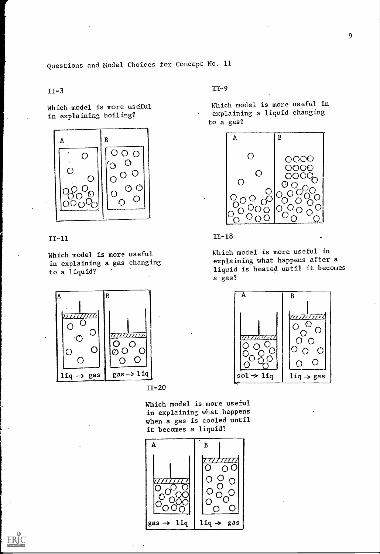Questions and Model Choices for Concept No. 11

## 11-3

Which model is more useful in explaining boiling?



## $II-11$

 $ERIC$ 

Which model is more useful in explaining a gas changing to a liquid?



11-20

11-9

Which model is more useful in explaining a liquid changing to a gas?



11-18

Which model is more useful in explaining what happens after a liquid is heated until it becomes a gas?



Which model is more useful in explaining what happens when a gas is cooled until it becomes a liquid?



9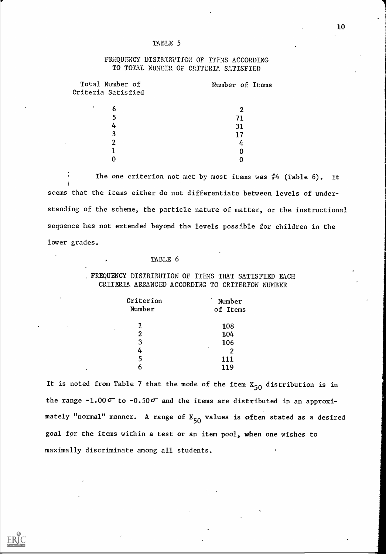#### TABLE 5

## FREQUENCY DISTRIBUTION OF ITEMS ACCORDING TO TOTAL NUMBER OF CRITERIA SATISFIED

| Total Number of<br>Criteria Satisfied | Number of Items |  |
|---------------------------------------|-----------------|--|
|                                       |                 |  |
| ٠<br>6                                |                 |  |
| 5                                     | 71              |  |
| 4                                     | 31              |  |
| 3                                     | 17              |  |
| 2                                     | 4               |  |
|                                       |                 |  |
|                                       |                 |  |

The one criterion not met by most items was  $\frac{d}{dt}4$  (Table 6). It seems that the items either do not differentiate between levels of understanding of the scheme, the particle nature of matter, or the instructional sequence has not extended beyond the levels possible for children in the lower grades.

## TABLE 6

. FREQUENCY DISTRIBUTION OF ITEMS THAT SATISFIED EACH CRITERIA ARRANGED ACCORDING TO CRITERION NUMBER

| Criterion      | $\bullet$<br>Number |  |
|----------------|---------------------|--|
| Number         | of Items            |  |
| 1              | 108                 |  |
| $\overline{2}$ | 1.04                |  |
| 3              | 106                 |  |
| 4              | ٠<br>2              |  |
| 5              | 111                 |  |
| Б              | 119                 |  |

It is noted from Table 7 that the mode of the item  $X_{50}$  distribution is in the range -1.00  $\sigma$  to -0.50 $\sigma$  and the items are distributed in an approximately "normal" manner. A range of  $X_{50}$  values is often stated as a desired goal for the items within a test or an item pool, when one wishes to maximally discriminate among all students.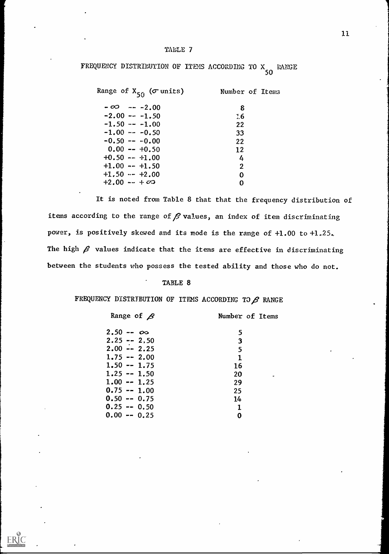## TABLE 7

FREQUENCY DISTRIBUTION OF ITEMS ACCORDING TO X RANG **50 SO** RANGE

| Range of $X_{50}$ ( $\sigma$ units) | Number of Items  |
|-------------------------------------|------------------|
| $-00 - -2.00$                       | 8                |
| $-2.00 - -1.50$                     | $\frac{7}{2}$ .6 |
| $-1.50 - -1.00$                     | 22               |
| $-1.00 - -0.50$                     | 33               |
| $-0.50 - -0.00$                     | 22               |
| $0.00 - +0.50$                      | $12 \ \mathrm{$  |
| $+0.50 - +1.00$                     | 4                |
| $+1.00 - +1.50$                     | $\mathbf{2}$     |
| $+1.50 - +2.00$                     | 0                |
| $+2.00 - + \infty$                  | ი                |

It is noted from Table 8 that that the frequency distribution of items according to the range of  $\beta$  values, an index of item discriminating power, is positively skewed and its mode is the range of +1.00 to +1.25., The high  $\beta$  values indicate that the items are effective in discriminating between the students who possess the tested ability and those who do not.

## TABLE 8

FREQUENCY DISTRIBUTION OF ITEMS ACCORDING TO  $\beta$  range

| Number of Items |
|-----------------|
| 5               |
| $\mathbf{3}$    |
| 5               |
| $\mathbf 1$     |
| 16              |
| 20              |
| 29              |
| 25              |
| 14              |
| $\mathbf 1$     |
| 0               |
|                 |